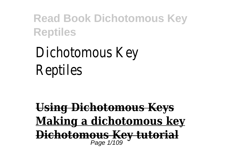# Dichotomous Key Reptiles

**Using Dichotomous Keys Making a dichotomous key Dichotomous Key tutorial** Page 1/109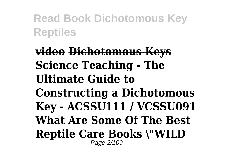**video Dichotomous Keys Science Teaching - The Ultimate Guide to Constructing a Dichotomous Key - ACSSU111 / VCSSU091 What Are Some Of The Best Reptile Care Books \"WILD** Page 2/109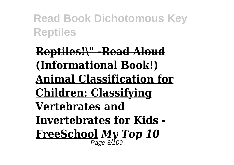**Reptiles!\" -Read Aloud (Informational Book!) Animal Classification for Children: Classifying Vertebrates and Invertebrates for Kids - FreeSchool** *My Top 10* Page 3/109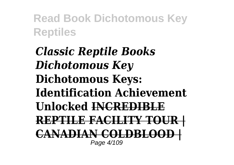*Classic Reptile Books Dichotomous Key* **Dichotomous Keys: Identification Achievement Unlocked INCREDIBLE REPTILE FACILITY TOUR | CANADIAN COLDBLOOD |** Page 4/109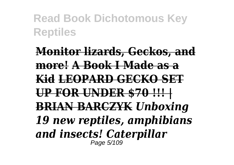**Monitor lizards, Geckos, and more! A Book I Made as a Kid LEOPARD GECKO SET UP FOR UNDER \$70 !!! | BRIAN BARCZYK** *Unboxing 19 new reptiles, amphibians and insects! Caterpillar* Page 5/109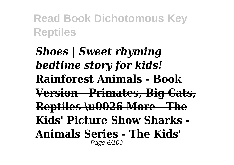*Shoes | Sweet rhyming bedtime story for kids!* **Rainforest Animals - Book Version - Primates, Big Cats, Reptiles \u0026 More - The Kids' Picture Show Sharks - Animals Series - The Kids'** Page 6/109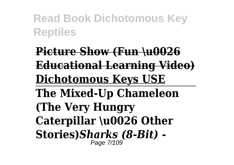**Picture Show (Fun \u0026 Educational Learning Video) Dichotomous Keys USE The Mixed-Up Chameleon (The Very Hungry Caterpillar \u0026 Other Stories)***Sharks (8-Bit) -* Page 7/109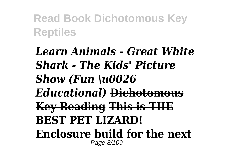*Learn Animals - Great White Shark - The Kids' Picture Show (Fun \u0026 Educational)* **Dichotomous Key Reading This is THE BEST PET LIZARD! Enclosure build for the next** Page 8/109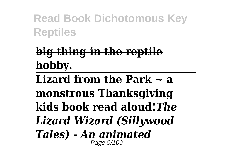## **big thing in the reptile hobby.**

**Lizard from the Park ~ a monstrous Thanksgiving kids book read aloud!***The Lizard Wizard (Sillywood Tales) - An animated* Page 9/109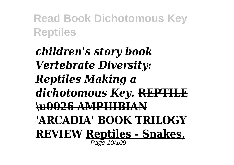*children's story book Vertebrate Diversity: Reptiles Making a dichotomous Key.* **REPTILE \u0026 AMPHIBIAN 'ARCADIA' BOOK TRILOGY REVIEW Reptiles - Snakes,** Page 10/109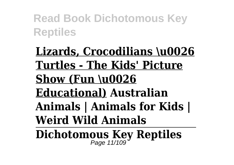**Lizards, Crocodilians \u0026 Turtles - The Kids' Picture Show (Fun \u0026 Educational) Australian Animals | Animals for Kids | Weird Wild Animals**

**Dichotomous Key Reptiles** Page 11/109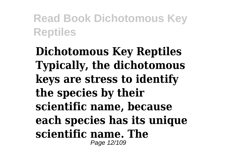**Dichotomous Key Reptiles Typically, the dichotomous keys are stress to identify the species by their scientific name, because each species has its unique scientific name. The** Page 12/109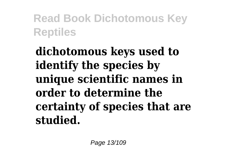**dichotomous keys used to identify the species by unique scientific names in order to determine the certainty of species that are studied.**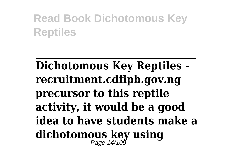# **Dichotomous Key Reptiles recruitment.cdfipb.gov.ng precursor to this reptile activity, it would be a good idea to have students make a dichotomous key using** Page 14/109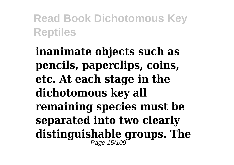**inanimate objects such as pencils, paperclips, coins, etc. At each stage in the dichotomous key all remaining species must be separated into two clearly distinguishable groups. The** Page 15/109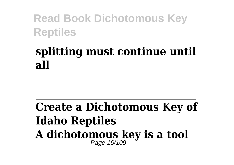### **splitting must continue until all**

#### **Create a Dichotomous Key of Idaho Reptiles A dichotomous key is a tool** Page 16/109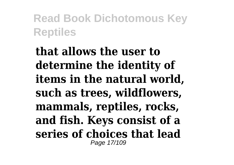**that allows the user to determine the identity of items in the natural world, such as trees, wildflowers, mammals, reptiles, rocks, and fish. Keys consist of a series of choices that lead** Page 17/109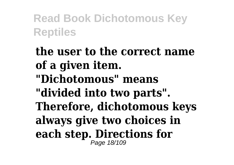**the user to the correct name of a given item. "Dichotomous" means "divided into two parts". Therefore, dichotomous keys always give two choices in each step. Directions for** Page 18/109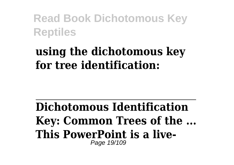### **using the dichotomous key for tree identification:**

**Dichotomous Identification Key: Common Trees of the ... This PowerPoint is a live-**Page 19/109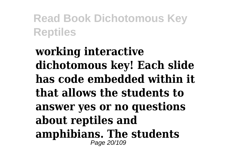### **working interactive dichotomous key! Each slide has code embedded within it that allows the students to answer yes or no questions about reptiles and amphibians. The students** Page 20/109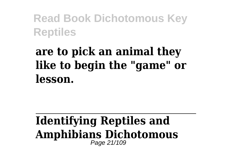### **are to pick an animal they like to begin the "game" or lesson.**

#### **Identifying Reptiles and Amphibians Dichotomous** Page 21/109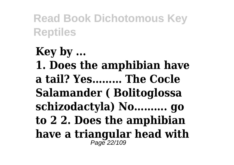**Key by ... 1. Does the amphibian have a tail? Yes……… The Cocle Salamander ( Bolitoglossa schizodactyla) No………. go to 2 2. Does the amphibian have a triangular head with** Page 22/109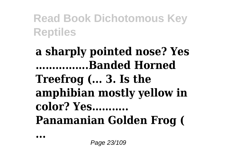### **a sharply pointed nose? Yes …………….Banded Horned Treefrog (... 3. Is the amphibian mostly yellow in color? Yes……….. Panamanian Golden Frog (**

**...**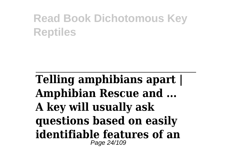### **Telling amphibians apart | Amphibian Rescue and ... A key will usually ask questions based on easily identifiable features of an** Page 24/109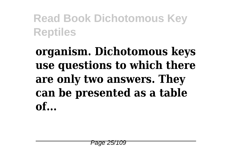## **organism. Dichotomous keys use questions to which there are only two answers. They can be presented as a table of...**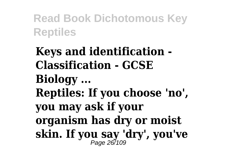**Keys and identification - Classification - GCSE Biology ... Reptiles: If you choose 'no', you may ask if your organism has dry or moist skin. If you say 'dry', you've** Page 26/109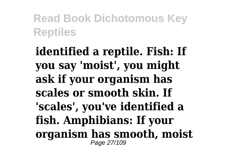**identified a reptile. Fish: If you say 'moist', you might ask if your organism has scales or smooth skin. If 'scales', you've identified a fish. Amphibians: If your organism has smooth, moist** Page 27/109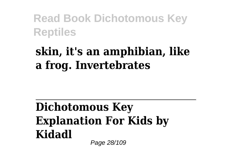### **skin, it's an amphibian, like a frog. Invertebrates**

#### **Dichotomous Key Explanation For Kids by Kidadl** Page 28/109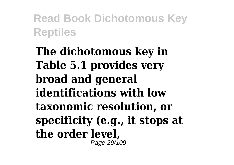**The dichotomous key in Table 5.1 provides very broad and general identifications with low taxonomic resolution, or specificity (e.g., it stops at the order level,** Page 29/109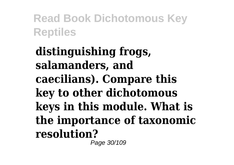**distinguishing frogs, salamanders, and caecilians). Compare this key to other dichotomous keys in this module. What is the importance of taxonomic resolution?** Page 30/109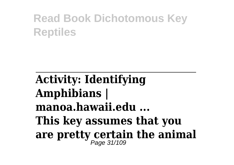**Activity: Identifying Amphibians | manoa.hawaii.edu ... This key assumes that you are pretty certain the animal** Page 31/109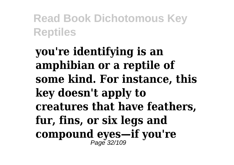**you're identifying is an amphibian or a reptile of some kind. For instance, this key doesn't apply to creatures that have feathers, fur, fins, or six legs and compound eyes—if you're** Page 32/109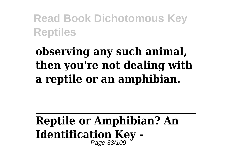## **observing any such animal, then you're not dealing with a reptile or an amphibian.**

# **Reptile or Amphibian? An Identification Key -**<br>  $\frac{1}{P}$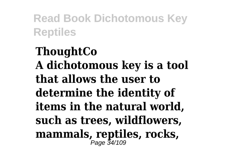**ThoughtCo A dichotomous key is a tool that allows the user to determine the identity of items in the natural world, such as trees, wildflowers, mammals, reptiles, rocks,** Page 34/109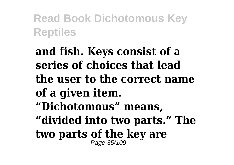**and fish. Keys consist of a series of choices that lead the user to the correct name of a given item. "Dichotomous" means, "divided into two parts." The two parts of the key are** Page 35/109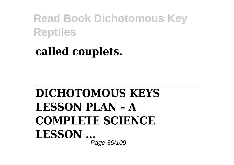### **called couplets.**

### **DICHOTOMOUS KEYS LESSON PLAN – A COMPLETE SCIENCE LESSON ...** Page 36/109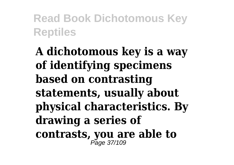**A dichotomous key is a way of identifying specimens based on contrasting statements, usually about physical characteristics. By drawing a series of contrasts, you are able to** Page 37/109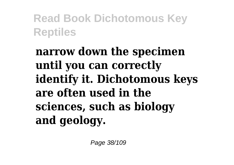**narrow down the specimen until you can correctly identify it. Dichotomous keys are often used in the sciences, such as biology and geology.**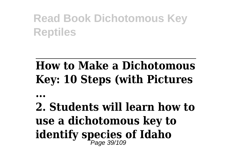## **How to Make a Dichotomous Key: 10 Steps (with Pictures**

**...**

# **2. Students will learn how to use a dichotomous key to identify species of Idaho** Page 39/109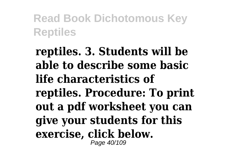**reptiles. 3. Students will be able to describe some basic life characteristics of reptiles. Procedure: To print out a pdf worksheet you can give your students for this exercise, click below.** Page 40/109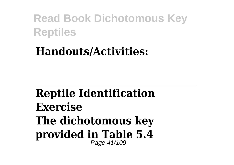#### **Handouts/Activities:**

#### **Reptile Identification Exercise The dichotomous key provided in Table 5.4** Page 41/109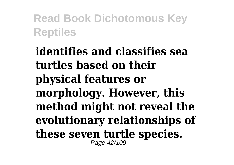**identifies and classifies sea turtles based on their physical features or morphology. However, this method might not reveal the evolutionary relationships of these seven turtle species.** Page 42/109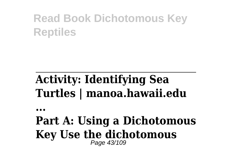## **Activity: Identifying Sea Turtles | manoa.hawaii.edu**

**...**

#### **Part A: Using a Dichotomous Key Use the dichotomous** Page 43/109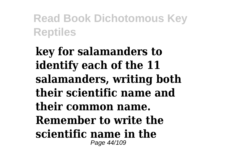**key for salamanders to identify each of the 11 salamanders, writing both their scientific name and their common name. Remember to write the scientific name in the** Page 44/109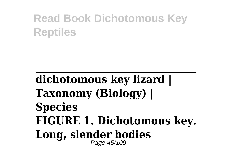#### **dichotomous key lizard | Taxonomy (Biology) | Species FIGURE 1. Dichotomous key. Long, slender bodies** Page 45/109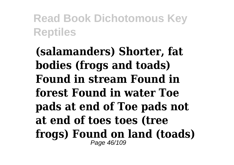**(salamanders) Shorter, fat bodies (frogs and toads) Found in stream Found in forest Found in water Toe pads at end of Toe pads not at end of toes toes (tree frogs) Found on land (toads)** Page 46/109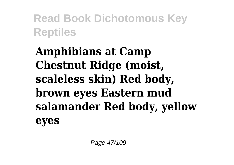**Amphibians at Camp Chestnut Ridge (moist, scaleless skin) Red body, brown eyes Eastern mud salamander Red body, yellow eyes**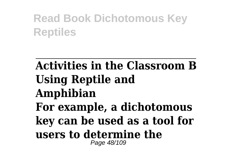#### **Activities in the Classroom B Using Reptile and Amphibian For example, a dichotomous key can be used as a tool for users to determine the** Page 48/109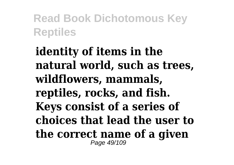**identity of items in the natural world, such as trees, wildflowers, mammals, reptiles, rocks, and fish. Keys consist of a series of choices that lead the user to the correct name of a given** Page 49/109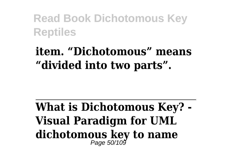### **item. "Dichotomous" means "divided into two parts".**

**What is Dichotomous Key? - Visual Paradigm for UML dichotomous key to name** Page 50/109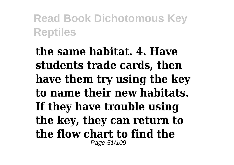**the same habitat. 4. Have students trade cards, then have them try using the key to name their new habitats. If they have trouble using the key, they can return to the flow chart to find the** Page 51/109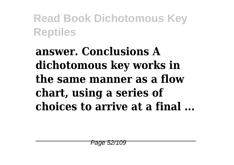**answer. Conclusions A dichotomous key works in the same manner as a flow chart, using a series of choices to arrive at a final ...**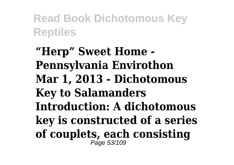**"Herp" Sweet Home - Pennsylvania Envirothon Mar 1, 2013 - Dichotomous Key to Salamanders Introduction: A dichotomous key is constructed of a series of couplets, each consisting** Page 53/109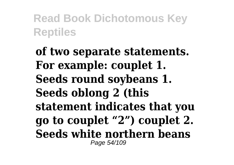**of two separate statements. For example: couplet 1. Seeds round soybeans 1. Seeds oblong 2 (this statement indicates that you go to couplet "2") couplet 2. Seeds white northern beans** Page 54/109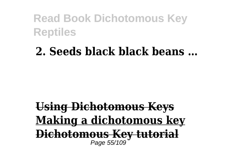#### **2. Seeds black black beans …**

#### **Using Dichotomous Keys Making a dichotomous key Dichotomous Key tutorial** Page 55/109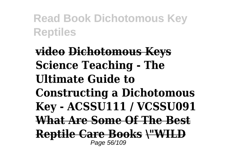**video Dichotomous Keys Science Teaching - The Ultimate Guide to Constructing a Dichotomous Key - ACSSU111 / VCSSU091 What Are Some Of The Best Reptile Care Books \"WILD** Page 56/109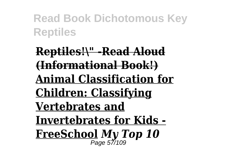**Reptiles!\" -Read Aloud (Informational Book!) Animal Classification for Children: Classifying Vertebrates and Invertebrates for Kids - FreeSchool** *My Top 10* Page 57/109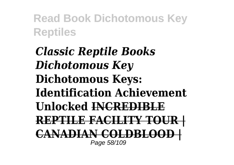*Classic Reptile Books Dichotomous Key* **Dichotomous Keys: Identification Achievement Unlocked INCREDIBLE REPTILE FACILITY TOUR | CANADIAN COLDBLOOD |** Page 58/109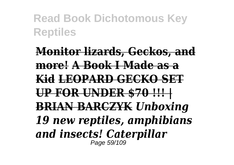**Monitor lizards, Geckos, and more! A Book I Made as a Kid LEOPARD GECKO SET UP FOR UNDER \$70 !!! | BRIAN BARCZYK** *Unboxing 19 new reptiles, amphibians and insects! Caterpillar* Page 59/109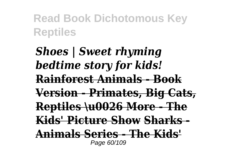*Shoes | Sweet rhyming bedtime story for kids!* **Rainforest Animals - Book Version - Primates, Big Cats, Reptiles \u0026 More - The Kids' Picture Show Sharks - Animals Series - The Kids'** Page 60/109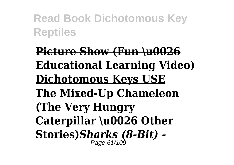**Picture Show (Fun \u0026 Educational Learning Video) Dichotomous Keys USE The Mixed-Up Chameleon (The Very Hungry Caterpillar \u0026 Other Stories)***Sharks (8-Bit) -* Page 61/109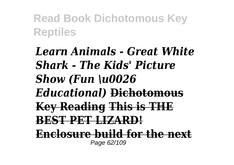*Learn Animals - Great White Shark - The Kids' Picture Show (Fun \u0026 Educational)* **Dichotomous Key Reading This is THE BEST PET LIZARD! Enclosure build for the next** Page 62/109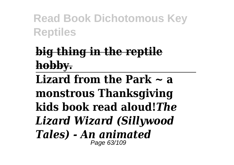## **big thing in the reptile hobby.**

**Lizard from the Park ~ a monstrous Thanksgiving kids book read aloud!***The Lizard Wizard (Sillywood Tales) - An animated* Page 63/109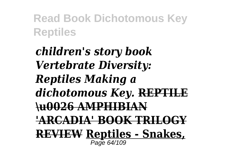*children's story book Vertebrate Diversity: Reptiles Making a dichotomous Key.* **REPTILE \u0026 AMPHIBIAN 'ARCADIA' BOOK TRILOGY REVIEW Reptiles - Snakes,** Page 64/109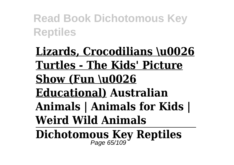**Lizards, Crocodilians \u0026 Turtles - The Kids' Picture Show (Fun \u0026 Educational) Australian Animals | Animals for Kids | Weird Wild Animals**

**Dichotomous Key Reptiles** Page 65/109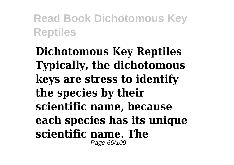**Dichotomous Key Reptiles Typically, the dichotomous keys are stress to identify the species by their scientific name, because each species has its unique scientific name. The** Page 66/109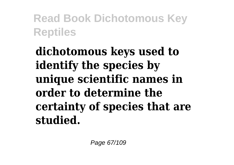**dichotomous keys used to identify the species by unique scientific names in order to determine the certainty of species that are studied.**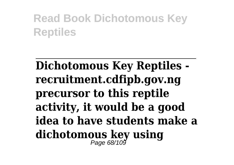## **Dichotomous Key Reptiles recruitment.cdfipb.gov.ng precursor to this reptile activity, it would be a good idea to have students make a dichotomous key using** Page 68/109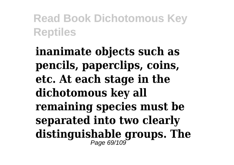**inanimate objects such as pencils, paperclips, coins, etc. At each stage in the dichotomous key all remaining species must be separated into two clearly distinguishable groups. The** Page 69/109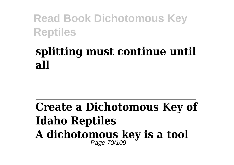### **splitting must continue until all**

#### **Create a Dichotomous Key of Idaho Reptiles A dichotomous key is a tool** Page 70/109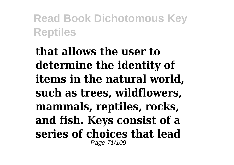**that allows the user to determine the identity of items in the natural world, such as trees, wildflowers, mammals, reptiles, rocks, and fish. Keys consist of a series of choices that lead** Page 71/109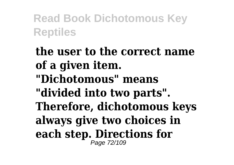**the user to the correct name of a given item. "Dichotomous" means "divided into two parts". Therefore, dichotomous keys always give two choices in each step. Directions for** Page 72/109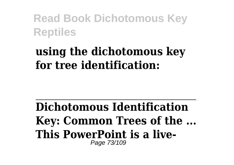#### **using the dichotomous key for tree identification:**

**Dichotomous Identification Key: Common Trees of the ... This PowerPoint is a live-**Page 73/109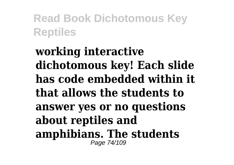#### **working interactive dichotomous key! Each slide has code embedded within it that allows the students to answer yes or no questions about reptiles and amphibians. The students** Page 74/109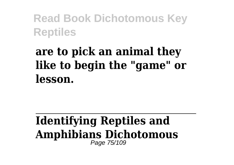### **are to pick an animal they like to begin the "game" or lesson.**

#### **Identifying Reptiles and Amphibians Dichotomous** Page 75/109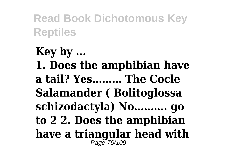**Key by ... 1. Does the amphibian have a tail? Yes……… The Cocle Salamander ( Bolitoglossa schizodactyla) No………. go to 2 2. Does the amphibian have a triangular head with** Page 76/109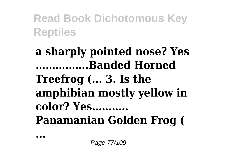### **a sharply pointed nose? Yes …………….Banded Horned Treefrog (... 3. Is the amphibian mostly yellow in color? Yes……….. Panamanian Golden Frog (**

**...**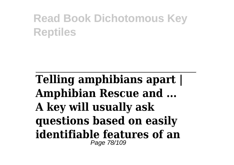#### **Telling amphibians apart | Amphibian Rescue and ... A key will usually ask questions based on easily identifiable features of an** Page 78/109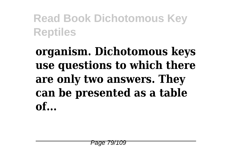## **organism. Dichotomous keys use questions to which there are only two answers. They can be presented as a table of...**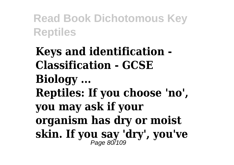**Keys and identification - Classification - GCSE Biology ... Reptiles: If you choose 'no', you may ask if your organism has dry or moist skin. If you say 'dry', you've** Page 80/109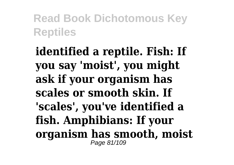**identified a reptile. Fish: If you say 'moist', you might ask if your organism has scales or smooth skin. If 'scales', you've identified a fish. Amphibians: If your organism has smooth, moist** Page 81/109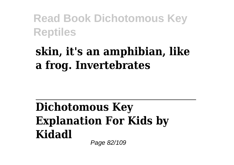### **skin, it's an amphibian, like a frog. Invertebrates**

#### **Dichotomous Key Explanation For Kids by Kidadl** Page 82/109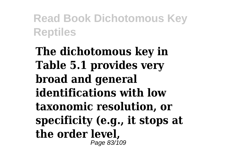**The dichotomous key in Table 5.1 provides very broad and general identifications with low taxonomic resolution, or specificity (e.g., it stops at the order level,** Page 83/109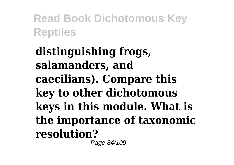**distinguishing frogs, salamanders, and caecilians). Compare this key to other dichotomous keys in this module. What is the importance of taxonomic resolution?** Page 84/109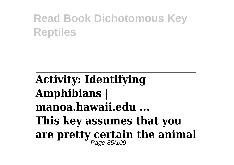**Activity: Identifying Amphibians | manoa.hawaii.edu ... This key assumes that you are pretty certain the animal** Page 85/109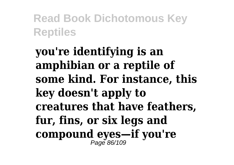**you're identifying is an amphibian or a reptile of some kind. For instance, this key doesn't apply to creatures that have feathers, fur, fins, or six legs and compound eyes—if you're** Page 86/109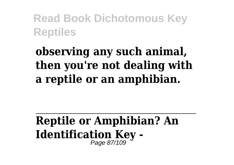# **observing any such animal, then you're not dealing with a reptile or an amphibian.**

#### **Reptile or Amphibian? An Identification Key -** Page 87/109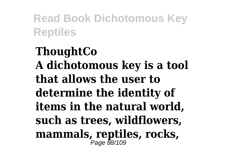**ThoughtCo A dichotomous key is a tool that allows the user to determine the identity of items in the natural world, such as trees, wildflowers, mammals, reptiles, rocks,** Page 88/109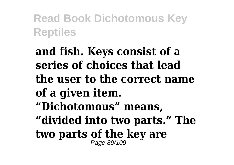**and fish. Keys consist of a series of choices that lead the user to the correct name of a given item. "Dichotomous" means, "divided into two parts." The two parts of the key are** Page 89/109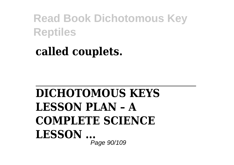### **called couplets.**

#### **DICHOTOMOUS KEYS LESSON PLAN – A COMPLETE SCIENCE LESSON ...** Page 90/109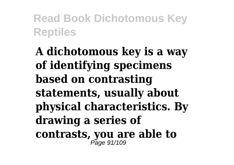**A dichotomous key is a way of identifying specimens based on contrasting statements, usually about physical characteristics. By drawing a series of contrasts, you are able to** Page 91/109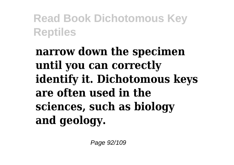**narrow down the specimen until you can correctly identify it. Dichotomous keys are often used in the sciences, such as biology and geology.**

Page 92/109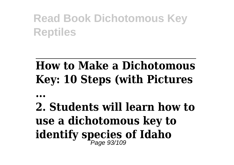# **How to Make a Dichotomous Key: 10 Steps (with Pictures**

**...**

# **2. Students will learn how to use a dichotomous key to identify species of Idaho** Page 93/109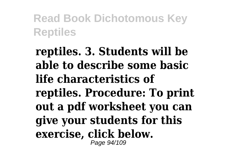**reptiles. 3. Students will be able to describe some basic life characteristics of reptiles. Procedure: To print out a pdf worksheet you can give your students for this exercise, click below.** Page 94/109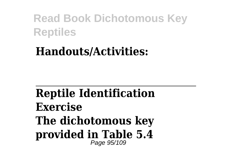#### **Handouts/Activities:**

#### **Reptile Identification Exercise The dichotomous key provided in Table 5.4** Page 95/109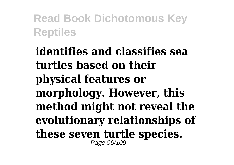**identifies and classifies sea turtles based on their physical features or morphology. However, this method might not reveal the evolutionary relationships of these seven turtle species.** Page 96/109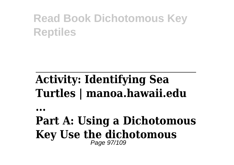# **Activity: Identifying Sea Turtles | manoa.hawaii.edu**

**...**

#### **Part A: Using a Dichotomous Key Use the dichotomous** Page 97/109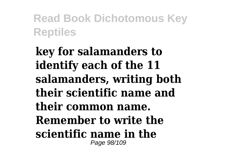**key for salamanders to identify each of the 11 salamanders, writing both their scientific name and their common name. Remember to write the scientific name in the** Page 98/109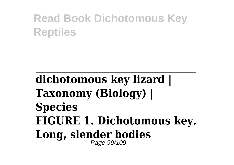#### **dichotomous key lizard | Taxonomy (Biology) | Species FIGURE 1. Dichotomous key. Long, slender bodies** Page 99/109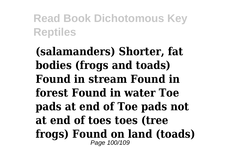**(salamanders) Shorter, fat bodies (frogs and toads) Found in stream Found in forest Found in water Toe pads at end of Toe pads not at end of toes toes (tree frogs) Found on land (toads)** Page 100/109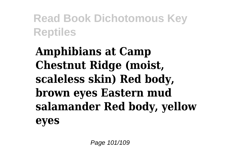**Amphibians at Camp Chestnut Ridge (moist, scaleless skin) Red body, brown eyes Eastern mud salamander Red body, yellow eyes**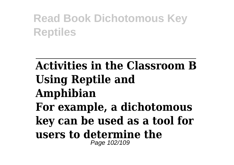#### **Activities in the Classroom B Using Reptile and Amphibian For example, a dichotomous key can be used as a tool for users to determine the** Page 102/109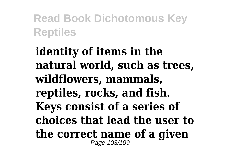**identity of items in the natural world, such as trees, wildflowers, mammals, reptiles, rocks, and fish. Keys consist of a series of choices that lead the user to the correct name of a given** Page 103/109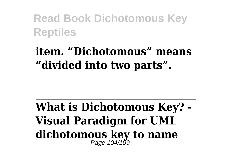#### **item. "Dichotomous" means "divided into two parts".**

**What is Dichotomous Key? - Visual Paradigm for UML dichotomous key to name** Page 104/109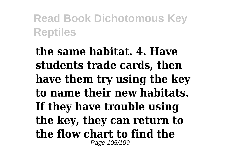**the same habitat. 4. Have students trade cards, then have them try using the key to name their new habitats. If they have trouble using the key, they can return to the flow chart to find the** Page 105/109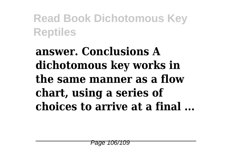**answer. Conclusions A dichotomous key works in the same manner as a flow chart, using a series of choices to arrive at a final ...**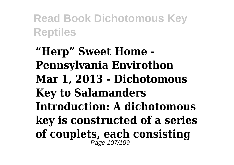**"Herp" Sweet Home - Pennsylvania Envirothon Mar 1, 2013 - Dichotomous Key to Salamanders Introduction: A dichotomous key is constructed of a series of couplets, each consisting** Page 107/109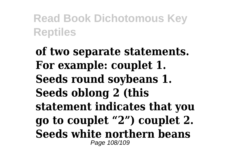**of two separate statements. For example: couplet 1. Seeds round soybeans 1. Seeds oblong 2 (this statement indicates that you go to couplet "2") couplet 2. Seeds white northern beans** Page 108/109